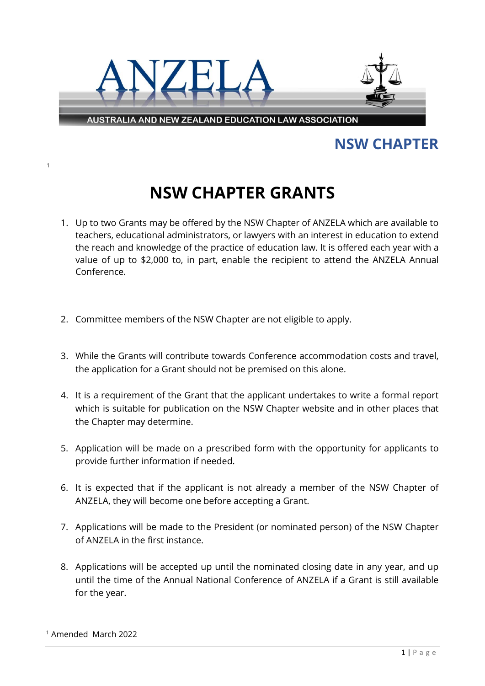

## **NSW CHAPTER**

## **NSW CHAPTER GRANTS**

- 1. Up to two Grants may be offered by the NSW Chapter of ANZELA which are available to teachers, educational administrators, or lawyers with an interest in education to extend the reach and knowledge of the practice of education law. It is offered each year with a value of up to \$2,000 to, in part, enable the recipient to attend the ANZELA Annual Conference.
- 2. Committee members of the NSW Chapter are not eligible to apply.
- 3. While the Grants will contribute towards Conference accommodation costs and travel, the application for a Grant should not be premised on this alone.
- 4. It is a requirement of the Grant that the applicant undertakes to write a formal report which is suitable for publication on the NSW Chapter website and in other places that the Chapter may determine.
- 5. Application will be made on a prescribed form with the opportunity for applicants to provide further information if needed.
- 6. It is expected that if the applicant is not already a member of the NSW Chapter of ANZELA, they will become one before accepting a Grant.
- 7. Applications will be made to the President (or nominated person) of the NSW Chapter of ANZELA in the first instance.
- 8. Applications will be accepted up until the nominated closing date in any year, and up until the time of the Annual National Conference of ANZELA if a Grant is still available for the year.

[1](#page-0-0)

<span id="page-0-0"></span><sup>1</sup> Amended March 2022